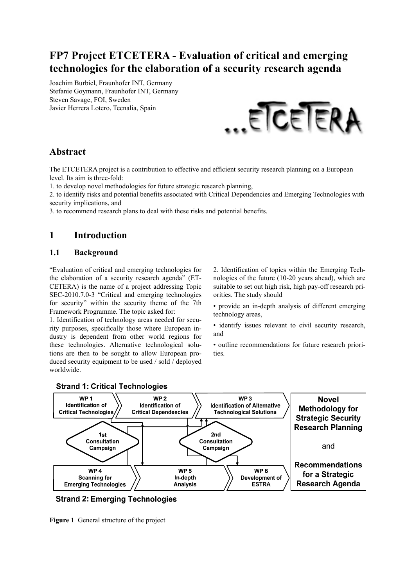# **FP7 Project ETCETERA - Evaluation of critical and emerging technologies for the elaboration of a security research agenda**

Joachim Burbiel, Fraunhofer INT, Germany Stefanie Goymann, Fraunhofer INT, Germany Steven Savage, FOI, Sweden Javier Herrera Lotero, Tecnalia, Spain



## **Abstract**

The ETCETERA project is a contribution to effective and efficient security research planning on a European level. Its aim is three-fold:

1. to develop novel methodologies for future strategic research planning,

2. to identify risks and potential benefits associated with Critical Dependencies and Emerging Technologies with security implications, and

3. to recommend research plans to deal with these risks and potential benefits.

# **1 Introduction**

#### **1.1 Background**

"Evaluation of critical and emerging technologies for the elaboration of a security research agenda" (ET-CETERA) is the name of a project addressing Topic SEC-2010.7.0-3 "Critical and emerging technologies for security" within the security theme of the 7th Framework Programme. The topic asked for:

1. Identification of technology areas needed for security purposes, specifically those where European industry is dependent from other world regions for these technologies. Alternative technological solutions are then to be sought to allow European produced security equipment to be used / sold / deployed worldwide.

2. Identification of topics within the Emerging Technologies of the future (10-20 years ahead), which are suitable to set out high risk, high pay-off research priorities. The study should

• provide an in-depth analysis of different emerging technology areas,

• identify issues relevant to civil security research, and

• outline recommendations for future research priorities.



### **Strand 1: Critical Technologies**

**Strand 2: Emerging Technologies** 

**Figure 1** General structure of the project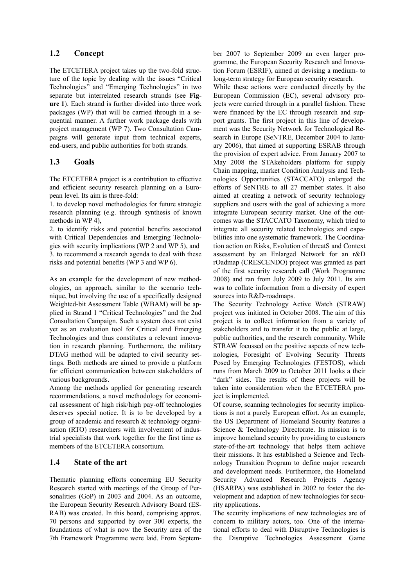#### **1.2 Concept**

The ETCETERA project takes up the two-fold structure of the topic by dealing with the issues "Critical Technologies" and "Emerging Technologies" in two separate but interrelated research strands (see **Figure 1**). Each strand is further divided into three work packages (WP) that will be carried through in a sequential manner. A further work package deals with project management (WP 7). Two Consultation Campaigns will generate input from technical experts, end-users, and public authorities for both strands.

#### **1.3 Goals**

The ETCETERA project is a contribution to effective and efficient security research planning on a European level. Its aim is three-fold:

1. to develop novel methodologies for future strategic research planning (e.g. through synthesis of known methods in WP 4),

2. to identify risks and potential benefits associated with Critical Dependencies and Emerging Technologies with security implications (WP 2 and WP 5), and 3. to recommend a research agenda to deal with these risks and potential benefits (WP 3 and WP 6).

As an example for the development of new methodologies, an approach, similar to the scenario technique, but involving the use of a specifically designed Weighted-bit Assessment Table (WBAM) will be applied in Strand 1 "Critical Technologies" and the 2nd Consultation Campaign. Such a system does not exist yet as an evaluation tool for Critical and Emerging Technologies and thus constitutes a relevant innovation in research planning. Furthermore, the military DTAG method will be adapted to civil security settings. Both methods are aimed to provide a platform for efficient communication between stakeholders of various backgrounds.

Among the methods applied for generating research recommendations, a novel methodology for economical assessment of high risk/high pay-off technologies deserves special notice. It is to be developed by a group of academic and research & technology organisation (RTO) researchers with involvement of industrial specialists that work together for the first time as members of the ETCETERA consortium.

#### **1.4 State of the art**

Thematic planning efforts concerning EU Security Research started with meetings of the Group of Personalities (GoP) in 2003 and 2004. As an outcome, the European Security Research Advisory Board (ES-RAB) was created. In this board, comprising approx. 70 persons and supported by over 300 experts, the foundations of what is now the Security area of the 7th Framework Programme were laid. From September 2007 to September 2009 an even larger programme, the European Security Research and Innovation Forum (ESRIF), aimed at devising a medium- to long-term strategy for European security research.

While these actions were conducted directly by the European Commission (EC), several advisory projects were carried through in a parallel fashion. These were financed by the EC through research and support grants. The first project in this line of development was the Security Network for Technological Research in Europe (SeNTRE, December 2004 to January 2006), that aimed at supporting ESRAB through the provision of expert advice. From January 2007 to May 2008 the STAkeholders platform for supply Chain mapping, market Condition Analysis and Technologies Opportunities (STACCATO) enlarged the efforts of SeNTRE to all 27 member states. It also aimed at creating a network of security technology suppliers and users with the goal of achieving a more integrate European security market. One of the outcomes was the STACCATO Taxonomy, which tried to integrate all security related technologies and capabilities into one systematic framework. The Coordination action on Risks, Evolution of threatS and Context assessment by an Enlarged Network for an r&D rOadmap (CRESCENDO) project was granted as part of the first security research call (Work Programme 2008) and ran from July 2009 to July 2011. Its aim was to collate information from a diversity of expert sources into R&D-roadmaps.

The Security Technology Active Watch (STRAW) project was initiated in October 2008. The aim of this project is to collect information from a variety of stakeholders and to transfer it to the public at large, public authorities, and the research community. While STRAW focussed on the positive aspects of new technologies, Foresight of Evolving Security Threats Posed by Emerging Technologies (FESTOS), which runs from March 2009 to October 2011 looks a their "dark" sides. The results of these projects will be taken into consideration when the ETCETERA project is implemented.

Of course, scanning technologies for security implications is not a purely European effort. As an example, the US Department of Homeland Security features a Science & Technology Directorate. Its mission is to improve homeland security by providing to customers state-of-the-art technology that helps them achieve their missions. It has established a Science and Technology Transition Program to define major research and development needs. Furthermore, the Homeland Security Advanced Research Projects Agency (HSARPA) was established in 2002 to foster the development and adaption of new technologies for security applications.

The security implications of new technologies are of concern to military actors, too. One of the international efforts to deal with Disruptive Technologies is the Disruptive Technologies Assessment Game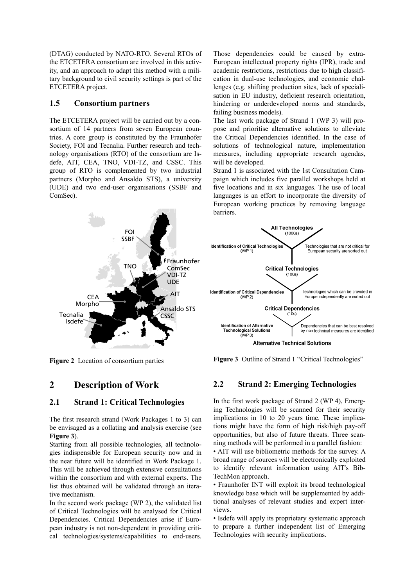(DTAG) conducted by NATO-RTO. Several RTOs of the ETCETERA consortium are involved in this activity, and an approach to adapt this method with a military background to civil security settings is part of the ETCETERA project.

#### **1.5 Consortium partners**

The ETCETERA project will be carried out by a consortium of 14 partners from seven European countries. A core group is constituted by the Fraunhofer Society, FOI and Tecnalia. Further research and technology organisations (RTO) of the consortium are Isdefe, AIT, CEA, TNO, VDI-TZ, and CSSC. This group of RTO is complemented by two industrial partners (Morpho and Ansaldo STS), a university (UDE) and two end-user organisations (SSBF and ComSec).

cation in dual-use technologies, and economic challenges (e.g. shifting production sites, lack of specialisation in EU industry, deficient research orientation, hindering or underdeveloped norms and standards, failing business models). The last work package of Strand 1 (WP 3) will pro-

Those dependencies could be caused by extra-European intellectual property rights (IPR), trade and academic restrictions, restrictions due to high classifi-

pose and prioritise alternative solutions to alleviate the Critical Dependencies identified. In the case of solutions of technological nature, implementation measures, including appropriate research agendas, will be developed.

Strand 1 is associated with the 1st Consultation Campaign which includes five parallel workshops held at five locations and in six languages. The use of local languages is an effort to incorporate the diversity of European working practices by removing language barriers.



**Figure 2** Location of consortium parties

### **2 Description of Work**

#### **2.1 Strand 1: Critical Technologies**

The first research strand (Work Packages 1 to 3) can be envisaged as a collating and analysis exercise (see **Figure 3**).

Starting from all possible technologies, all technologies indispensible for European security now and in the near future will be identified in Work Package 1. This will be achieved through extensive consultations within the consortium and with external experts. The list thus obtained will be validated through an iterative mechanism.

In the second work package (WP 2), the validated list of Critical Technologies will be analysed for Critical Dependencies. Critical Dependencies arise if European industry is not non-dependent in providing critical technologies/systems/capabilities to end-users.



**Figure 3** Outline of Strand 1 "Critical Technologies"

### **2.2 Strand 2: Emerging Technologies**

In the first work package of Strand 2 (WP 4), Emerging Technologies will be scanned for their security implications in 10 to 20 years time. These implications might have the form of high risk/high pay-off opportunities, but also of future threats. Three scanning methods will be performed in a parallel fashion:

• AIT will use bibliometric methods for the survey. A broad range of sources will be electronically exploited to identify relevant information using AIT's Bib-TechMon approach.

• Fraunhofer INT will exploit its broad technological knowledge base which will be supplemented by additional analyses of relevant studies and expert interviews.

• Isdefe will apply its proprietary systematic approach to prepare a further independent list of Emerging Technologies with security implications.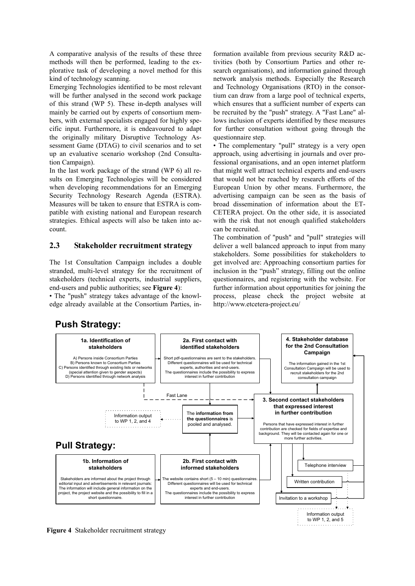A comparative analysis of the results of these three methods will then be performed, leading to the explorative task of developing a novel method for this kind of technology scanning.

Emerging Technologies identified to be most relevant will be further analysed in the second work package of this strand (WP 5). These in-depth analyses will mainly be carried out by experts of consortium members, with external specialists engaged for highly specific input. Furthermore, it is endeavoured to adapt the originally military Disruptive Technology Assessment Game (DTAG) to civil scenarios and to set up an evaluative scenario workshop (2nd Consultation Campaign).

In the last work package of the strand (WP 6) all results on Emerging Technologies will be considered when developing recommendations for an Emerging Security Technology Research Agenda (ESTRA). Measures will be taken to ensure that ESTRA is compatible with existing national and European research strategies. Ethical aspects will also be taken into account.

#### **2.3 Stakeholder recruitment strategy**

The 1st Consultation Campaign includes a double stranded, multi-level strategy for the recruitment of stakeholders (technical experts, industrial suppliers, end-users and public authorities; see **Figure 4**):

• The "push" strategy takes advantage of the knowledge already available at the Consortium Parties, in-

formation available from previous security R&D activities (both by Consortium Parties and other research organisations), and information gained through network analysis methods. Especially the Research and Technology Organisations (RTO) in the consortium can draw from a large pool of technical experts, which ensures that a sufficient number of experts can be recruited by the "push" strategy. A "Fast Lane" allows inclusion of experts identified by these measures for further consultation without going through the questionnaire step.

• The complementary "pull" strategy is a very open approach, using advertising in journals and over professional organisations, and an open internet platform that might well attract technical experts and end-users that would not be reached by research efforts of the European Union by other means. Furthermore, the advertising campaign can be seen as the basis of broad dissemination of information about the ET-CETERA project. On the other side, it is associated with the risk that not enough qualified stakeholders can be recruited.

The combination of "push" and "pull" strategies will deliver a well balanced approach to input from many stakeholders. Some possibilities for stakeholders to get involved are: Approaching consortium parties for inclusion in the "push" strategy, filling out the online questionnaires, and registering with the website. For further information about opportunities for joining the process, please check the project website at http://www.etcetera-project.eu/

### **Push Strategy:**



**Figure 4** Stakeholder recruitment strategy